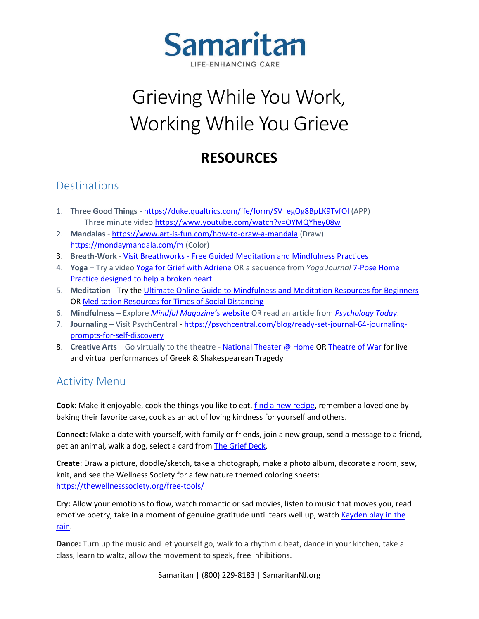

## Grieving While You Work, Working While You Grieve

## **RESOURCES**

## **Destinations**

- 1. **Three Good Things**  [https://duke.qualtrics.com/jfe/form/SV\\_egOg8BpLK9TvfOl](https://duke.qualtrics.com/jfe/form/SV_egOg8BpLK9TvfOl) (APP) Three minute video<https://www.youtube.com/watch?v=OYMQYhey08w>
- 2. **Mandalas** <https://www.art-is-fun.com/how-to-draw-a-mandala> (Draw) <https://mondaymandala.com/m> (Color)
- 3. **Breath-Work** Visit Breathworks [Free Guided Meditation and Mindfulness Practices](https://www.breathworks-mindfulness.org.uk/free-meditations)
- 4. **Yoga**  Try a video [Yoga for Grief with Adriene](https://www.youtube.com/watch?v=iEVn59U2_LY) OR a sequence from *Yoga Journal* [7-Pose Home](https://www.yogajournal.com/practice/yoga-sequences/yoga-for-grief/)  [Practice designed to help a broken heart](https://www.yogajournal.com/practice/yoga-sequences/yoga-for-grief/)
- 5. **Meditation** Try the [Ultimate Online Guide to Mindfulness and Meditation Resources for Beginners](https://thewellnesssociety.org/mindfulness-and-meditation/) O[R Meditation Resources for Times of Social Distancing](https://www.theawakenetwork.com/free-online-meditation-resources-for-the-time-of-social-distancing/)
- 6. **Mindfulness** Explore *[Mindful Magazine's](https://www.mindful.org/meditation/mindfulness-getting-started/)* website OR read an article from *[Psychology Today](https://www.psychologytoday.com/us/basics/mindfulness)*.
- 7. **Journaling** Visit PsychCentral [https://psychcentral.com/blog/ready-set-journal-64-journaling](https://psychcentral.com/blog/ready-set-journal-64-journaling-prompts-for-self-discovery)[prompts-for-self-discovery](https://psychcentral.com/blog/ready-set-journal-64-journaling-prompts-for-self-discovery)
- 8. Creative Arts Go virtually to the theatre [National Theater @ Home](https://www.ntathome.com/) O[R Theatre of War](https://theaterofwar.com/) for live and virtual performances of Greek & Shakespearean Tragedy

## Activity Menu

**Cook**: Make it enjoyable, cook the things you like to eat, [find a new recipe,](https://selfcarecooking.com/) remember a loved one by baking their favorite cake, cook as an act of loving kindness for yourself and others.

**Connect**: Make a date with yourself, with family or friends, join a new group, send a message to a friend, pet an animal, walk a dog, select a card from [The Grief Deck.](https://griefdeck.com/)

**Create**: Draw a picture, doodle/sketch, take a photograph, make a photo album, decorate a room, sew, knit, and see the Wellness Society for a few nature themed coloring sheets: <https://thewellnesssociety.org/free-tools/>

**Cry:** Allow your emotions to flow, watch romantic or sad movies, listen to music that moves you, read emotive poetry, take in a moment of genuine gratitude until tears well up, watch Kayden play in the [rain.](https://www.youtube.com/watch?v=YuewtGD_Ng4)

**Dance:** Turn up the music and let yourself go, walk to a rhythmic beat, dance in your kitchen, take a class, learn to waltz, allow the movement to speak, free inhibitions.

Samaritan | (800) 229-8183 | SamaritanNJ.org